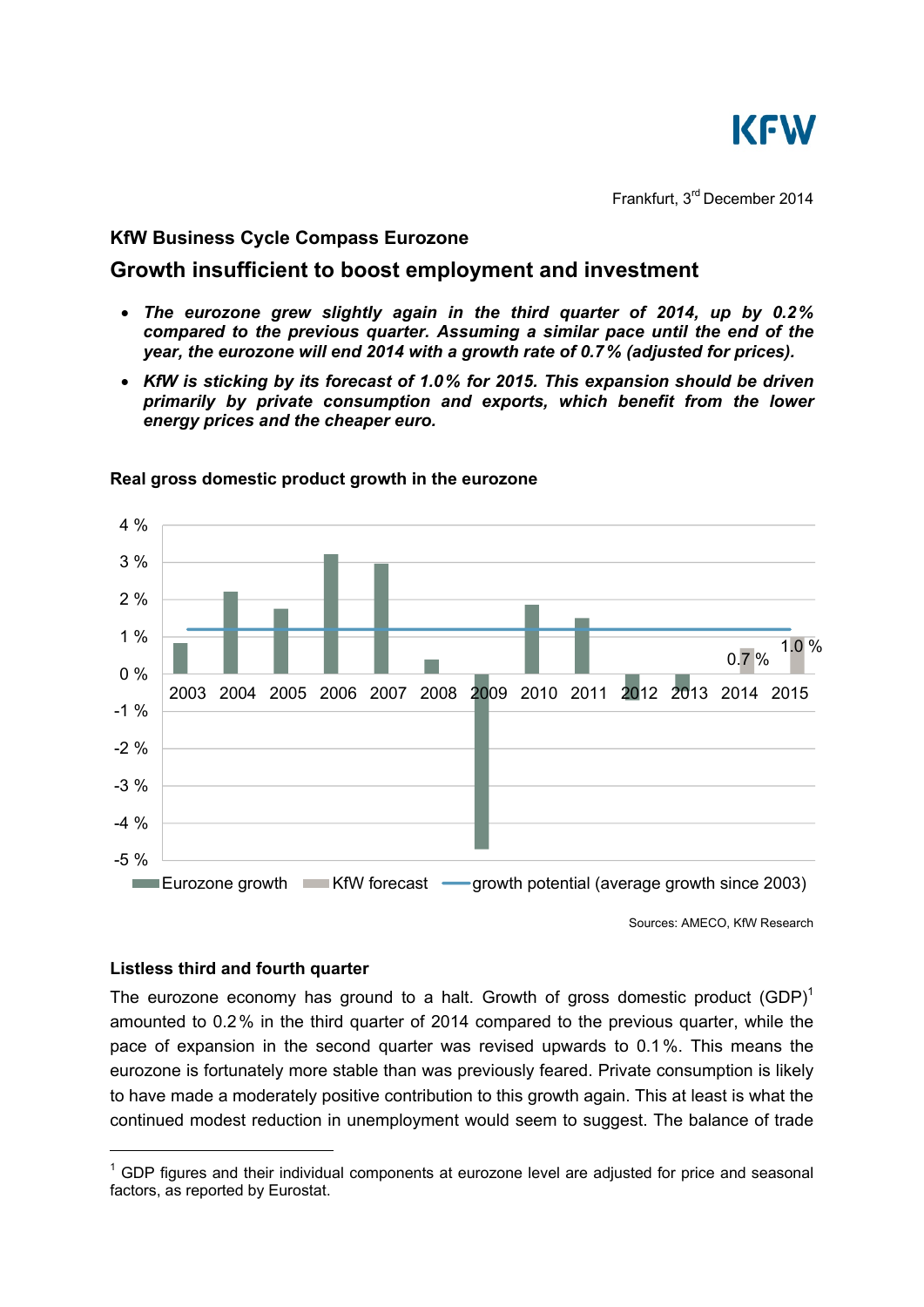

Frankfurt, 3rd December 2014

## **KfW Business Cycle Compass Eurozone**

# **Growth insufficient to boost employment and investment**

- *The eurozone grew slightly again in the third quarter of 2014, up by 0.2% compared to the previous quarter. Assuming a similar pace until the end of the year, the eurozone will end 2014 with a growth rate of 0.7% (adjusted for prices).*
- *KfW is sticking by its forecast of 1.0% for 2015. This expansion should be driven primarily by private consumption and exports, which benefit from the lower energy prices and the cheaper euro.*



#### **Real gross domestic product growth in the eurozone**

Sources: AMECO, KfW Research

## **Listless third and fourth quarter**

-

The eurozone economy has ground to a halt. Growth of gross domestic product  $(GDP)^1$ amounted to 0.2% in the third quarter of 2014 compared to the previous quarter, while the pace of expansion in the second quarter was revised upwards to 0.1 %. This means the eurozone is fortunately more stable than was previously feared. Private consumption is likely to have made a moderately positive contribution to this growth again. This at least is what the continued modest reduction in unemployment would seem to suggest. The balance of trade

 $1$  GDP figures and their individual components at eurozone level are adjusted for price and seasonal factors, as reported by Eurostat.